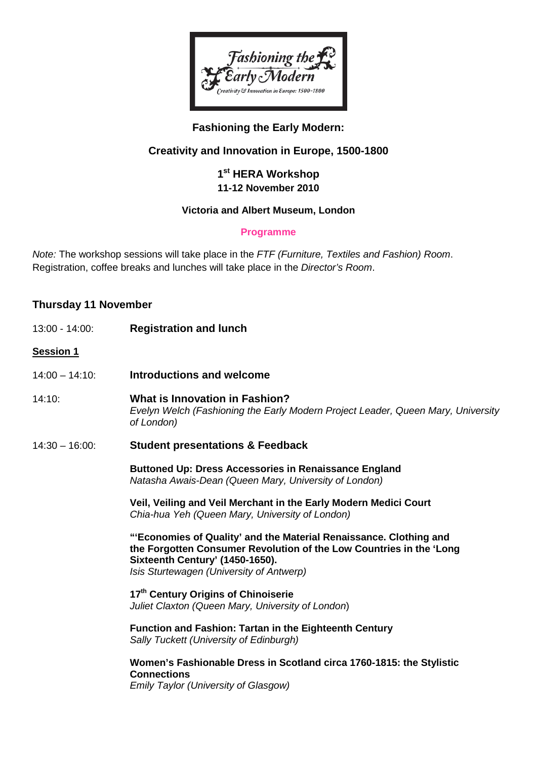

# **Fashioning the Early Modern:**

# **Creativity and Innovation in Europe, 1500-1800**

## **1st HERA Workshop 11-12 November 2010**

#### **Victoria and Albert Museum, London**

### **Programme**

*Note:* The workshop sessions will take place in the *FTF (Furniture, Textiles and Fashion) Room*. Registration, coffee breaks and lunches will take place in the *Director's Room*.

## **Thursday 11 November**

| 13:00 - 14:00:    | <b>Registration and lunch</b>                                                                                                                                                                                            |
|-------------------|--------------------------------------------------------------------------------------------------------------------------------------------------------------------------------------------------------------------------|
| Session 1         |                                                                                                                                                                                                                          |
| $14:00 - 14:10$ : | Introductions and welcome                                                                                                                                                                                                |
| 14:10:            | <b>What is Innovation in Fashion?</b><br>Evelyn Welch (Fashioning the Early Modern Project Leader, Queen Mary, University<br>of London)                                                                                  |
| $14:30 - 16:00$ : | <b>Student presentations &amp; Feedback</b>                                                                                                                                                                              |
|                   | <b>Buttoned Up: Dress Accessories in Renaissance England</b><br>Natasha Awais-Dean (Queen Mary, University of London)                                                                                                    |
|                   | Veil, Veiling and Veil Merchant in the Early Modern Medici Court<br>Chia-hua Yeh (Queen Mary, University of London)                                                                                                      |
|                   | "'Economies of Quality' and the Material Renaissance. Clothing and<br>the Forgotten Consumer Revolution of the Low Countries in the 'Long<br>Sixteenth Century' (1450-1650).<br>Isis Sturtewagen (University of Antwerp) |
|                   | 17 <sup>th</sup> Century Origins of Chinoiserie<br>Juliet Claxton (Queen Mary, University of London)                                                                                                                     |
|                   | <b>Function and Fashion: Tartan in the Eighteenth Century</b><br>Sally Tuckett (University of Edinburgh)                                                                                                                 |
|                   | Women's Fashionable Dress in Scotland circa 1760-1815: the Stylistic<br><b>Connections</b><br><b>Emily Taylor (University of Glasgow)</b>                                                                                |